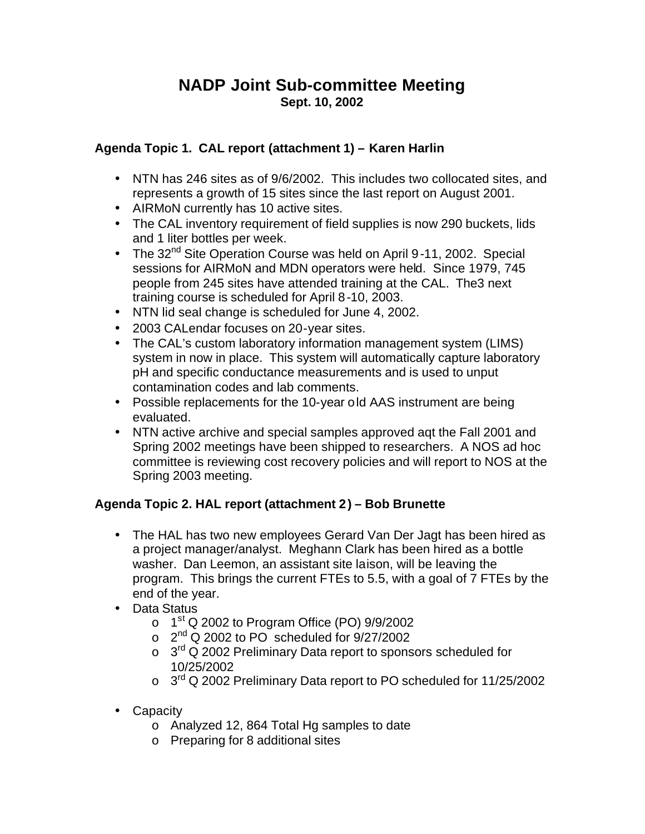## **NADP Joint Sub-committee Meeting Sept. 10, 2002**

## **Agenda Topic 1. CAL report (attachment 1) – Karen Harlin**

- NTN has 246 sites as of 9/6/2002. This includes two collocated sites, and represents a growth of 15 sites since the last report on August 2001.
- AIRMoN currently has 10 active sites.
- The CAL inventory requirement of field supplies is now 290 buckets, lids and 1 liter bottles per week.
- The 32<sup>nd</sup> Site Operation Course was held on April 9-11, 2002. Special sessions for AIRMoN and MDN operators were held. Since 1979, 745 people from 245 sites have attended training at the CAL. The3 next training course is scheduled for April 8-10, 2003.
- NTN lid seal change is scheduled for June 4, 2002.
- 2003 CALendar focuses on 20-year sites.
- The CAL's custom laboratory information management system (LIMS) system in now in place. This system will automatically capture laboratory pH and specific conductance measurements and is used to unput contamination codes and lab comments.
- Possible replacements for the 10-year old AAS instrument are being evaluated.
- NTN active archive and special samples approved aqt the Fall 2001 and Spring 2002 meetings have been shipped to researchers. A NOS ad hoc committee is reviewing cost recovery policies and will report to NOS at the Spring 2003 meeting.

## **Agenda Topic 2. HAL report (attachment 2) – Bob Brunette**

- The HAL has two new employees Gerard Van Der Jagt has been hired as a project manager/analyst. Meghann Clark has been hired as a bottle washer. Dan Leemon, an assistant site laison, will be leaving the program. This brings the current FTEs to 5.5, with a goal of 7 FTEs by the end of the year.
- Data Status
	- $\circ$  1<sup>st</sup> Q 2002 to Program Office (PO) 9/9/2002
	- $\circ$  2<sup>nd</sup> Q 2002 to PO scheduled for 9/27/2002
	- $\circ$  3<sup>rd</sup> Q 2002 Preliminary Data report to sponsors scheduled for 10/25/2002
	- o 3<sup>rd</sup> Q 2002 Preliminary Data report to PO scheduled for 11/25/2002
- Capacity
	- o Analyzed 12, 864 Total Hg samples to date
	- o Preparing for 8 additional sites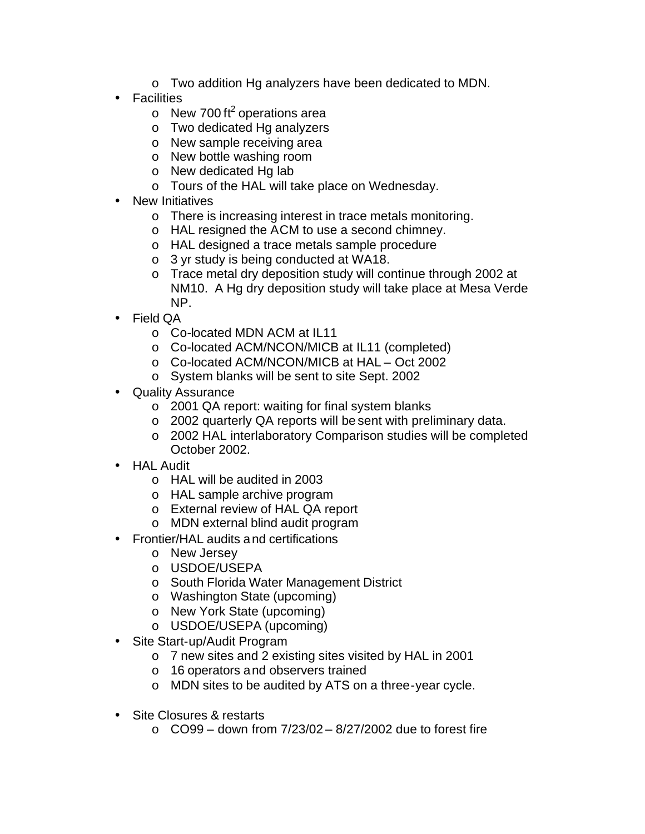- o Two addition Hg analyzers have been dedicated to MDN.
- **Facilities** 
	- $\circ$  New 700 ft<sup>2</sup> operations area
	- o Two dedicated Hg analyzers
	- o New sample receiving area
	- o New bottle washing room
	- o New dedicated Hg lab
	- o Tours of the HAL will take place on Wednesday.
- New Initiatives
	- o There is increasing interest in trace metals monitoring.
	- o HAL resigned the ACM to use a second chimney.
	- o HAL designed a trace metals sample procedure
	- o 3 yr study is being conducted at WA18.
	- o Trace metal dry deposition study will continue through 2002 at NM10. A Hg dry deposition study will take place at Mesa Verde NP.
- Field QA
	- o Co-located MDN ACM at IL11
	- o Co-located ACM/NCON/MICB at IL11 (completed)
	- o Co-located ACM/NCON/MICB at HAL Oct 2002
	- o System blanks will be sent to site Sept. 2002
- Quality Assurance
	- o 2001 QA report: waiting for final system blanks
	- o 2002 quarterly QA reports will be sent with preliminary data.
	- o 2002 HAL interlaboratory Comparison studies will be completed October 2002.
- HAL Audit
	- o HAL will be audited in 2003
	- o HAL sample archive program
	- o External review of HAL QA report
	- o MDN external blind audit program
- Frontier/HAL audits and certifications
	- o New Jersey
	- o USDOE/USEPA
	- o South Florida Water Management District
	- o Washington State (upcoming)
	- o New York State (upcoming)
	- o USDOE/USEPA (upcoming)
- Site Start-up/Audit Program
	- o 7 new sites and 2 existing sites visited by HAL in 2001
	- o 16 operators and observers trained
	- o MDN sites to be audited by ATS on a three-year cycle.
- Site Closures & restarts
	- $\circ$  CO99 down from  $7/23/02 8/27/2002$  due to forest fire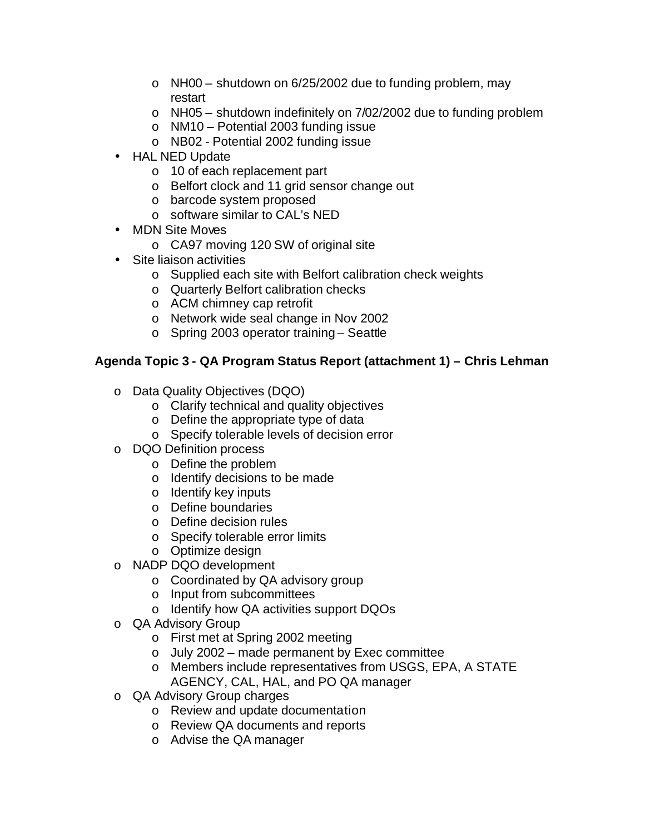- $\circ$  NH00 shutdown on 6/25/2002 due to funding problem, may restart
- $\circ$  NH05 shutdown indefinitely on 7/02/2002 due to funding problem
- o NM10 Potential 2003 funding issue
- o NB02 Potential 2002 funding issue
- HAL NED Update
	- o 10 of each replacement part
	- o Belfort clock and 11 grid sensor change out
	- o barcode system proposed
	- o software similar to CAL's NED
- MDN Site Moves
	- o CA97 moving 120 SW of original site
- Site liaison activities
	- o Supplied each site with Belfort calibration check weights
	- o Quarterly Belfort calibration checks
	- o ACM chimney cap retrofit
	- o Network wide seal change in Nov 2002
	- o Spring 2003 operator training Seattle

## **Agenda Topic 3 - QA Program Status Report (attachment 1) – Chris Lehman**

- o Data Quality Objectives (DQO)
	- o Clarify technical and quality objectives
	- o Define the appropriate type of data
	- o Specify tolerable levels of decision error
- o DQO Definition process
	- o Define the problem
	- o Identify decisions to be made
	- o Identify key inputs
	- o Define boundaries
	- o Define decision rules
	- o Specify tolerable error limits
	- o Optimize design
- o NADP DQO development
	- o Coordinated by QA advisory group
	- o Input from subcommittees
	- o Identify how QA activities support DQOs
- o QA Advisory Group
	- o First met at Spring 2002 meeting
	- o July 2002 made permanent by Exec committee
	- o Members include representatives from USGS, EPA, A STATE AGENCY, CAL, HAL, and PO QA manager
- o QA Advisory Group charges
	- o Review and update documentation
	- o Review QA documents and reports
	- o Advise the QA manager